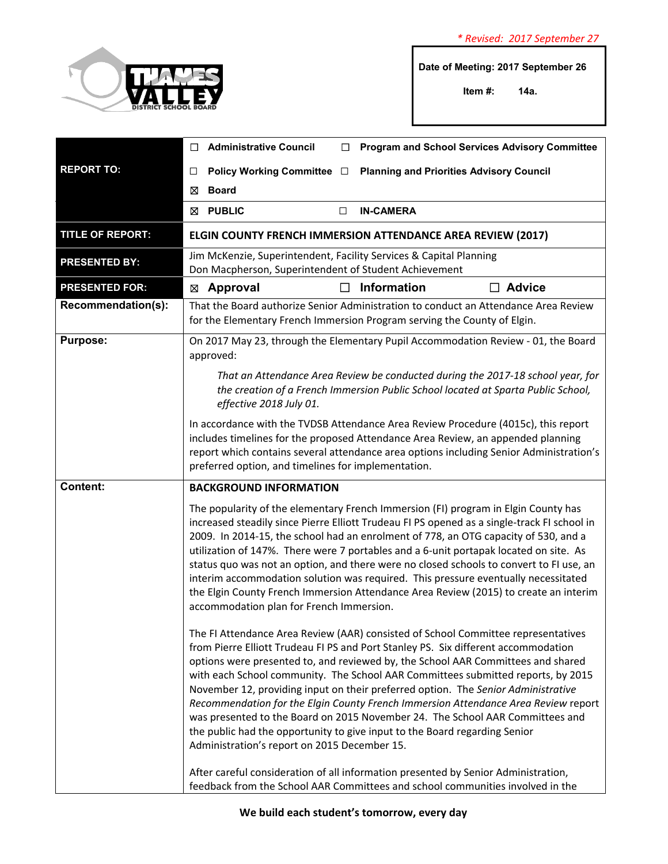

**Date of Meeting: 2017 September 26** 

**Item #: 14a.**

|                         | <b>Administrative Council</b><br><b>Program and School Services Advisory Committee</b><br>◻                                                                                                                                                                                                                                                                                                                                                                                                                                                                                                                                                                                                                                               |
|-------------------------|-------------------------------------------------------------------------------------------------------------------------------------------------------------------------------------------------------------------------------------------------------------------------------------------------------------------------------------------------------------------------------------------------------------------------------------------------------------------------------------------------------------------------------------------------------------------------------------------------------------------------------------------------------------------------------------------------------------------------------------------|
| <b>REPORT TO:</b>       | Policy Working Committee □<br><b>Planning and Priorities Advisory Council</b><br>□                                                                                                                                                                                                                                                                                                                                                                                                                                                                                                                                                                                                                                                        |
|                         | <b>Board</b><br>⊠                                                                                                                                                                                                                                                                                                                                                                                                                                                                                                                                                                                                                                                                                                                         |
|                         | ⊠ PUBLIC<br><b>IN-CAMERA</b><br>□                                                                                                                                                                                                                                                                                                                                                                                                                                                                                                                                                                                                                                                                                                         |
| <b>TITLE OF REPORT:</b> | ELGIN COUNTY FRENCH IMMERSION ATTENDANCE AREA REVIEW (2017)                                                                                                                                                                                                                                                                                                                                                                                                                                                                                                                                                                                                                                                                               |
| <b>PRESENTED BY:</b>    | Jim McKenzie, Superintendent, Facility Services & Capital Planning<br>Don Macpherson, Superintendent of Student Achievement                                                                                                                                                                                                                                                                                                                                                                                                                                                                                                                                                                                                               |
| <b>PRESENTED FOR:</b>   | <b>Information</b><br>$\Box$ Advice<br>Approval<br>⊠                                                                                                                                                                                                                                                                                                                                                                                                                                                                                                                                                                                                                                                                                      |
| Recommendation(s):      | That the Board authorize Senior Administration to conduct an Attendance Area Review<br>for the Elementary French Immersion Program serving the County of Elgin.                                                                                                                                                                                                                                                                                                                                                                                                                                                                                                                                                                           |
| <b>Purpose:</b>         | On 2017 May 23, through the Elementary Pupil Accommodation Review - 01, the Board<br>approved:                                                                                                                                                                                                                                                                                                                                                                                                                                                                                                                                                                                                                                            |
|                         | That an Attendance Area Review be conducted during the 2017-18 school year, for<br>the creation of a French Immersion Public School located at Sparta Public School,<br>effective 2018 July 01.                                                                                                                                                                                                                                                                                                                                                                                                                                                                                                                                           |
|                         | In accordance with the TVDSB Attendance Area Review Procedure (4015c), this report<br>includes timelines for the proposed Attendance Area Review, an appended planning<br>report which contains several attendance area options including Senior Administration's<br>preferred option, and timelines for implementation.                                                                                                                                                                                                                                                                                                                                                                                                                  |
| <b>Content:</b>         | <b>BACKGROUND INFORMATION</b>                                                                                                                                                                                                                                                                                                                                                                                                                                                                                                                                                                                                                                                                                                             |
|                         | The popularity of the elementary French Immersion (FI) program in Elgin County has<br>increased steadily since Pierre Elliott Trudeau FI PS opened as a single-track FI school in<br>2009. In 2014-15, the school had an enrolment of 778, an OTG capacity of 530, and a<br>utilization of 147%. There were 7 portables and a 6-unit portapak located on site. As<br>status quo was not an option, and there were no closed schools to convert to FI use, an<br>interim accommodation solution was required. This pressure eventually necessitated<br>the Elgin County French Immersion Attendance Area Review (2015) to create an interim<br>accommodation plan for French Immersion.                                                    |
|                         | The FI Attendance Area Review (AAR) consisted of School Committee representatives<br>from Pierre Elliott Trudeau FI PS and Port Stanley PS. Six different accommodation<br>options were presented to, and reviewed by, the School AAR Committees and shared<br>with each School community. The School AAR Committees submitted reports, by 2015<br>November 12, providing input on their preferred option. The Senior Administrative<br>Recommendation for the Elgin County French Immersion Attendance Area Review report<br>was presented to the Board on 2015 November 24. The School AAR Committees and<br>the public had the opportunity to give input to the Board regarding Senior<br>Administration's report on 2015 December 15. |
|                         | After careful consideration of all information presented by Senior Administration,<br>feedback from the School AAR Committees and school communities involved in the                                                                                                                                                                                                                                                                                                                                                                                                                                                                                                                                                                      |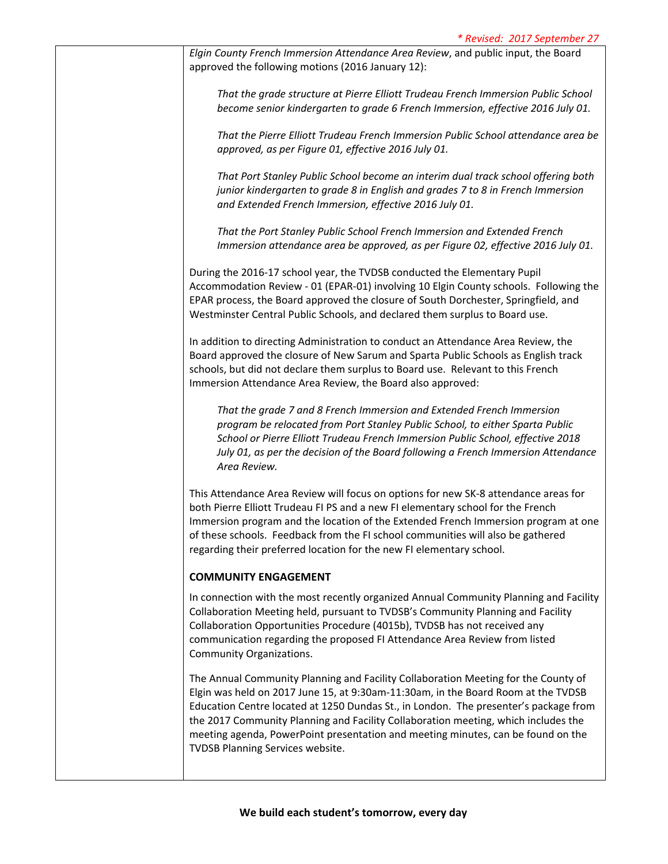*Elgin County French Immersion Attendance Area Review*, and public input, the Board approved the following motions (2016 January 12):

*That the grade structure at Pierre Elliott Trudeau French Immersion Public School become senior kindergarten to grade 6 French Immersion, effective 2016 July 01.*

*That the Pierre Elliott Trudeau French Immersion Public School attendance area be approved, as per Figure 01, effective 2016 July 01.*

*That Port Stanley Public School become an interim dual track school offering both junior kindergarten to grade 8 in English and grades 7 to 8 in French Immersion and Extended French Immersion, effective 2016 July 01.*

*That the Port Stanley Public School French Immersion and Extended French Immersion attendance area be approved, as per Figure 02, effective 2016 July 01.*

During the 2016‐17 school year, the TVDSB conducted the Elementary Pupil Accommodation Review ‐ 01 (EPAR‐01) involving 10 Elgin County schools. Following the EPAR process, the Board approved the closure of South Dorchester, Springfield, and Westminster Central Public Schools, and declared them surplus to Board use.

In addition to directing Administration to conduct an Attendance Area Review, the Board approved the closure of New Sarum and Sparta Public Schools as English track schools, but did not declare them surplus to Board use. Relevant to this French Immersion Attendance Area Review, the Board also approved:

*That the grade 7 and 8 French Immersion and Extended French Immersion program be relocated from Port Stanley Public School, to either Sparta Public School or Pierre Elliott Trudeau French Immersion Public School, effective 2018 July 01, as per the decision of the Board following a French Immersion Attendance Area Review.*

This Attendance Area Review will focus on options for new SK‐8 attendance areas for both Pierre Elliott Trudeau FI PS and a new FI elementary school for the French Immersion program and the location of the Extended French Immersion program at one of these schools. Feedback from the FI school communities will also be gathered regarding their preferred location for the new FI elementary school.

## **COMMUNITY ENGAGEMENT**

In connection with the most recently organized Annual Community Planning and Facility Collaboration Meeting held, pursuant to TVDSB's Community Planning and Facility Collaboration Opportunities Procedure (4015b), TVDSB has not received any communication regarding the proposed FI Attendance Area Review from listed Community Organizations.

The Annual Community Planning and Facility Collaboration Meeting for the County of Elgin was held on 2017 June 15, at 9:30am‐11:30am, in the Board Room at the TVDSB Education Centre located at 1250 Dundas St., in London. The presenter's package from the 2017 Community Planning and Facility Collaboration meeting, which includes the meeting agenda, PowerPoint presentation and meeting minutes, can be found on the TVDSB Planning Services website.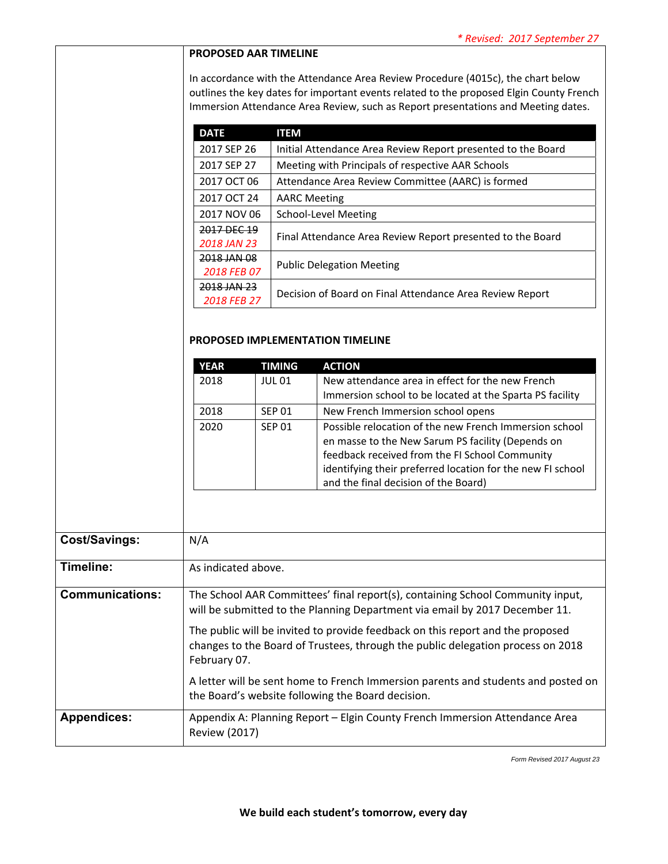## **PROPOSED AAR TIMELINE**

In accordance with the Attendance Area Review Procedure (4015c), the chart below outlines the key dates for important events related to the proposed Elgin County French Immersion Attendance Area Review, such as Report presentations and Meeting dates.

| <b>DATE</b> | <b>ITEM</b>                                                  |  |
|-------------|--------------------------------------------------------------|--|
| 2017 SEP 26 | Initial Attendance Area Review Report presented to the Board |  |
| 2017 SEP 27 | Meeting with Principals of respective AAR Schools            |  |
| 2017 OCT 06 | Attendance Area Review Committee (AARC) is formed            |  |
| 2017 OCT 24 | <b>AARC Meeting</b>                                          |  |
| 2017 NOV 06 | School-Level Meeting                                         |  |
| 2017 DFC 19 | Final Attendance Area Review Report presented to the Board   |  |
| 2018 JAN 23 |                                                              |  |
| 2018 JAN 08 |                                                              |  |
| 2018 FEB 07 | <b>Public Delegation Meeting</b>                             |  |
| 2018 JAN 23 | Decision of Board on Final Attendance Area Review Report     |  |
| 2018 FEB 27 |                                                              |  |

## **PROPOSED IMPLEMENTATION TIMELINE**

| <b>YEAR</b> | TIMING        | <b>ACTION</b>                                                                                                |
|-------------|---------------|--------------------------------------------------------------------------------------------------------------|
| 2018        | <b>JUL 01</b> | New attendance area in effect for the new French<br>Immersion school to be located at the Sparta PS facility |
|             |               |                                                                                                              |
| 2018        | <b>SEP 01</b> | New French Immersion school opens                                                                            |
| 2020        | <b>SEP 01</b> | Possible relocation of the new French Immersion school                                                       |
|             |               | en masse to the New Sarum PS facility (Depends on                                                            |
|             |               | feedback received from the FI School Community                                                               |
|             |               | identifying their preferred location for the new FI school                                                   |
|             |               | and the final decision of the Board)                                                                         |

| Cost/Savings:          | N/A                                                                                                                                                                                                                                                                                                                                                                                                                                                                                          |
|------------------------|----------------------------------------------------------------------------------------------------------------------------------------------------------------------------------------------------------------------------------------------------------------------------------------------------------------------------------------------------------------------------------------------------------------------------------------------------------------------------------------------|
| Timeline:              | As indicated above.                                                                                                                                                                                                                                                                                                                                                                                                                                                                          |
| <b>Communications:</b> | The School AAR Committees' final report(s), containing School Community input,<br>will be submitted to the Planning Department via email by 2017 December 11.<br>The public will be invited to provide feedback on this report and the proposed<br>changes to the Board of Trustees, through the public delegation process on 2018<br>February 07.<br>A letter will be sent home to French Immersion parents and students and posted on<br>the Board's website following the Board decision. |
| <b>Appendices:</b>     | Appendix A: Planning Report - Elgin County French Immersion Attendance Area<br><b>Review (2017)</b>                                                                                                                                                                                                                                                                                                                                                                                          |

*Form Revised 2017 August 23*